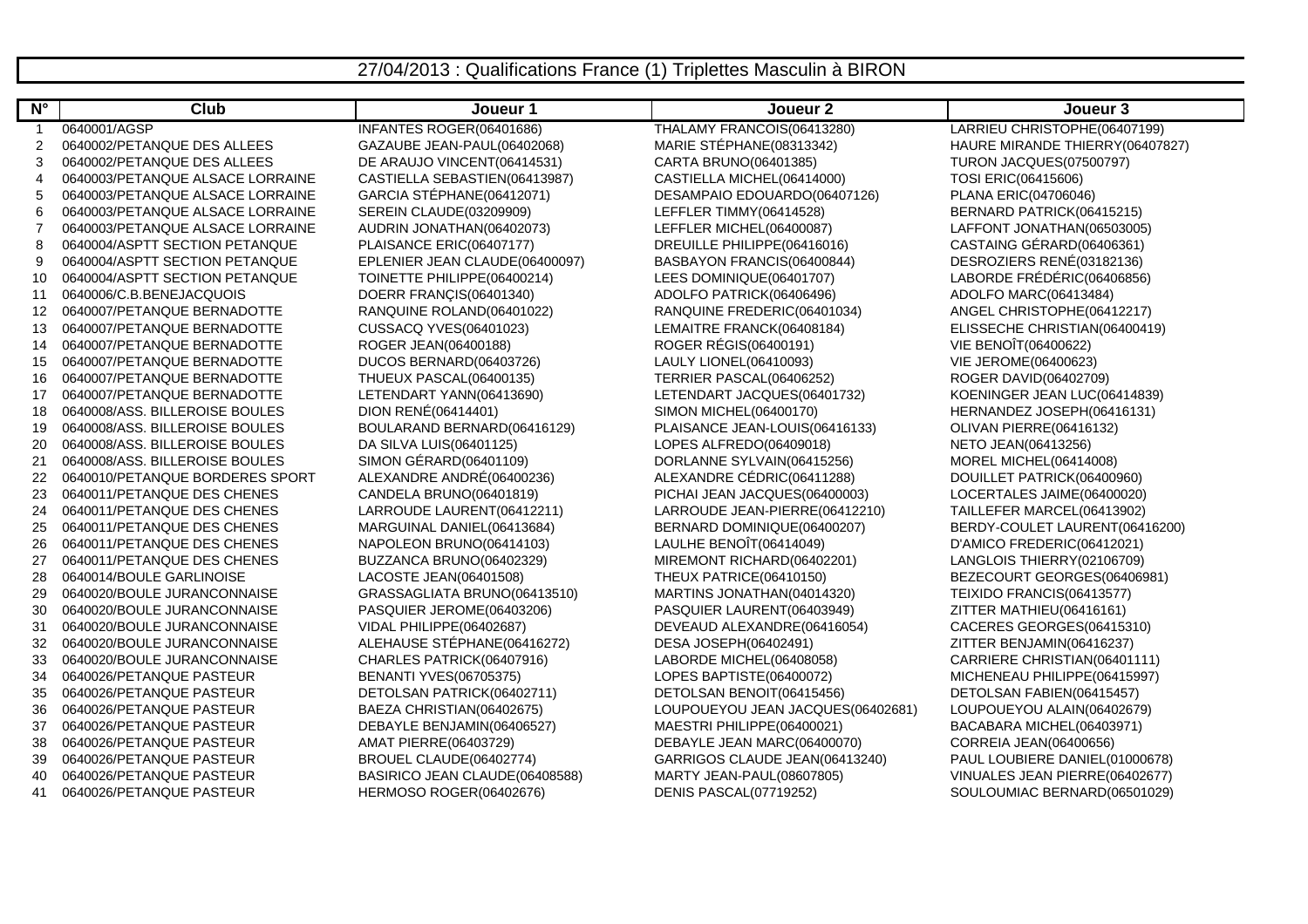## 27/04/2013 : Qualifications France (1) Triplettes Masculin à BIRON

| $N^{\circ}$ | <b>Club</b>                      | Joueur 1                       | Joueur <sub>2</sub>               | Joueur 3                        |
|-------------|----------------------------------|--------------------------------|-----------------------------------|---------------------------------|
|             | 0640001/AGSP                     | INFANTES ROGER(06401686)       | THALAMY FRANCOIS(06413280)        | LARRIEU CHRISTOPHE(06407199)    |
| 2           | 0640002/PETANQUE DES ALLEES      | GAZAUBE JEAN-PAUL(06402068)    | MARIE STÉPHANE(08313342)          | HAURE MIRANDE THIERRY(06407827) |
| 3           | 0640002/PETANQUE DES ALLEES      | DE ARAUJO VINCENT(06414531)    | CARTA BRUNO(06401385)             | <b>TURON JACQUES(07500797)</b>  |
| 4           | 0640003/PETANQUE ALSACE LORRAINE | CASTIELLA SEBASTIEN(06413987)  | CASTIELLA MICHEL(06414000)        | TOSI ERIC(06415606)             |
| 5           | 0640003/PETANQUE ALSACE LORRAINE | GARCIA STÉPHANE(06412071)      | DESAMPAIO EDOUARDO(06407126)      | PLANA ERIC(04706046)            |
| 6           | 0640003/PETANQUE ALSACE LORRAINE | <b>SEREIN CLAUDE(03209909)</b> | LEFFLER TIMMY(06414528)           | BERNARD PATRICK(06415215)       |
|             | 0640003/PETANQUE ALSACE LORRAINE | AUDRIN JONATHAN(06402073)      | LEFFLER MICHEL(06400087)          | LAFFONT JONATHAN(06503005)      |
| 8           | 0640004/ASPTT SECTION PETANQUE   | PLAISANCE ERIC(06407177)       | DREUILLE PHILIPPE(06416016)       | CASTAING GÉRARD(06406361)       |
| 9           | 0640004/ASPTT SECTION PETANQUE   | EPLENIER JEAN CLAUDE(06400097) | BASBAYON FRANCIS(06400844)        | DESROZIERS RENÉ(03182136)       |
| 10          | 0640004/ASPTT SECTION PETANQUE   | TOINETTE PHILIPPE(06400214)    | LEES DOMINIQUE(06401707)          | LABORDE FRÉDÉRIC(06406856)      |
| 11          | 0640006/C.B.BENEJACQUOIS         | DOERR FRANÇIS(06401340)        | ADOLFO PATRICK(06406496)          | ADOLFO MARC(06413484)           |
| 12          | 0640007/PETANQUE BERNADOTTE      | RANQUINE ROLAND(06401022)      | RANQUINE FREDERIC(06401034)       | ANGEL CHRISTOPHE(06412217)      |
| 13          | 0640007/PETANQUE BERNADOTTE      | CUSSACQ YVES(06401023)         | LEMAITRE FRANCK(06408184)         | ELISSECHE CHRISTIAN(06400419)   |
| 14          | 0640007/PETANQUE BERNADOTTE      | ROGER JEAN(06400188)           | ROGER RÉGIS(06400191)             | VIE BENOÎT(06400622)            |
| 15          | 0640007/PETANQUE BERNADOTTE      | DUCOS BERNARD(06403726)        | LAULY LIONEL(06410093)            | VIE JEROME(06400623)            |
| 16          | 0640007/PETANQUE BERNADOTTE      | THUEUX PASCAL(06400135)        | TERRIER PASCAL(06406252)          | ROGER DAVID(06402709)           |
| 17          | 0640007/PETANQUE BERNADOTTE      | LETENDART YANN(06413690)       | LETENDART JACQUES(06401732)       | KOENINGER JEAN LUC(06414839)    |
| 18          | 0640008/ASS. BILLEROISE BOULES   | DION RENÉ(06414401)            | SIMON MICHEL(06400170)            | HERNANDEZ JOSEPH(06416131)      |
| 19          | 0640008/ASS. BILLEROISE BOULES   | BOULARAND BERNARD(06416129)    | PLAISANCE JEAN-LOUIS(06416133)    | OLIVAN PIERRE(06416132)         |
| 20          | 0640008/ASS. BILLEROISE BOULES   | DA SILVA LUIS(06401125)        | LOPES ALFREDO(06409018)           | NETO JEAN(06413256)             |
| 21          | 0640008/ASS. BILLEROISE BOULES   | SIMON GÉRARD(06401109)         | DORLANNE SYLVAIN(06415256)        | MOREL MICHEL(06414008)          |
| 22          | 0640010/PETANQUE BORDERES SPORT  | ALEXANDRE ANDRÉ(06400236)      | ALEXANDRE CÉDRIC(06411288)        | DOUILLET PATRICK(06400960)      |
| 23          | 0640011/PETANQUE DES CHENES      | CANDELA BRUNO(06401819)        | PICHAI JEAN JACQUES(06400003)     | LOCERTALES JAIME(06400020)      |
| 24          | 0640011/PETANQUE DES CHENES      | LARROUDE LAURENT(06412211)     | LARROUDE JEAN-PIERRE(06412210)    | TAILLEFER MARCEL(06413902)      |
| 25          | 0640011/PETANQUE DES CHENES      | MARGUINAL DANIEL(06413684)     | BERNARD DOMINIQUE(06400207)       | BERDY-COULET LAURENT(06416200)  |
| 26          | 0640011/PETANQUE DES CHENES      | NAPOLEON BRUNO(06414103)       | LAULHE BENOÎT(06414049)           | D'AMICO FREDERIC(06412021)      |
| 27          | 0640011/PETANQUE DES CHENES      | BUZZANCA BRUNO(06402329)       | MIREMONT RICHARD(06402201)        | LANGLOIS THIERRY(02106709)      |
| 28          | 0640014/BOULE GARLINOISE         | LACOSTE JEAN(06401508)         | THEUX PATRICE(06410150)           | BEZECOURT GEORGES(06406981)     |
| 29          | 0640020/BOULE JURANCONNAISE      | GRASSAGLIATA BRUNO(06413510)   | MARTINS JONATHAN(04014320)        | TEIXIDO FRANCIS(06413577)       |
| 30          | 0640020/BOULE JURANCONNAISE      | PASQUIER JEROME(06403206)      | PASQUIER LAURENT(06403949)        | ZITTER MATHIEU(06416161)        |
| 31          | 0640020/BOULE JURANCONNAISE      | VIDAL PHILIPPE(06402687)       | DEVEAUD ALEXANDRE(06416054)       | CACERES GEORGES(06415310)       |
| 32          | 0640020/BOULE JURANCONNAISE      | ALEHAUSE STÉPHANE(06416272)    | DESA JOSEPH(06402491)             | ZITTER BENJAMIN(06416237)       |
| 33          | 0640020/BOULE JURANCONNAISE      | CHARLES PATRICK(06407916)      | LABORDE MICHEL(06408058)          | CARRIERE CHRISTIAN(06401111)    |
| 34          | 0640026/PETANQUE PASTEUR         | <b>BENANTI YVES(06705375)</b>  | LOPES BAPTISTE(06400072)          | MICHENEAU PHILIPPE(06415997)    |
| 35          | 0640026/PETANQUE PASTEUR         | DETOLSAN PATRICK(06402711)     | DETOLSAN BENOIT(06415456)         | DETOLSAN FABIEN(06415457)       |
| 36          | 0640026/PETANQUE PASTEUR         | BAEZA CHRISTIAN(06402675)      | LOUPOUEYOU JEAN JACQUES(06402681) | LOUPOUEYOU ALAIN(06402679)      |
| 37          | 0640026/PETANQUE PASTEUR         | DEBAYLE BENJAMIN(06406527)     | MAESTRI PHILIPPE(06400021)        | BACABARA MICHEL(06403971)       |
| 38          | 0640026/PETANQUE PASTEUR         | AMAT PIERRE(06403729)          | DEBAYLE JEAN MARC(06400070)       | CORREIA JEAN(06400656)          |
| 39          | 0640026/PETANQUE PASTEUR         | BROUEL CLAUDE(06402774)        | GARRIGOS CLAUDE JEAN(06413240)    | PAUL LOUBIERE DANIEL(01000678)  |
| 40          | 0640026/PETANQUE PASTEUR         | BASIRICO JEAN CLAUDE(06408588) | MARTY JEAN-PAUL(08607805)         | VINUALES JEAN PIERRE(06402677)  |
| 41          | 0640026/PETANQUE PASTEUR         | HERMOSO ROGER(06402676)        | DENIS PASCAL(07719252)            | SOULOUMIAC BERNARD(06501029)    |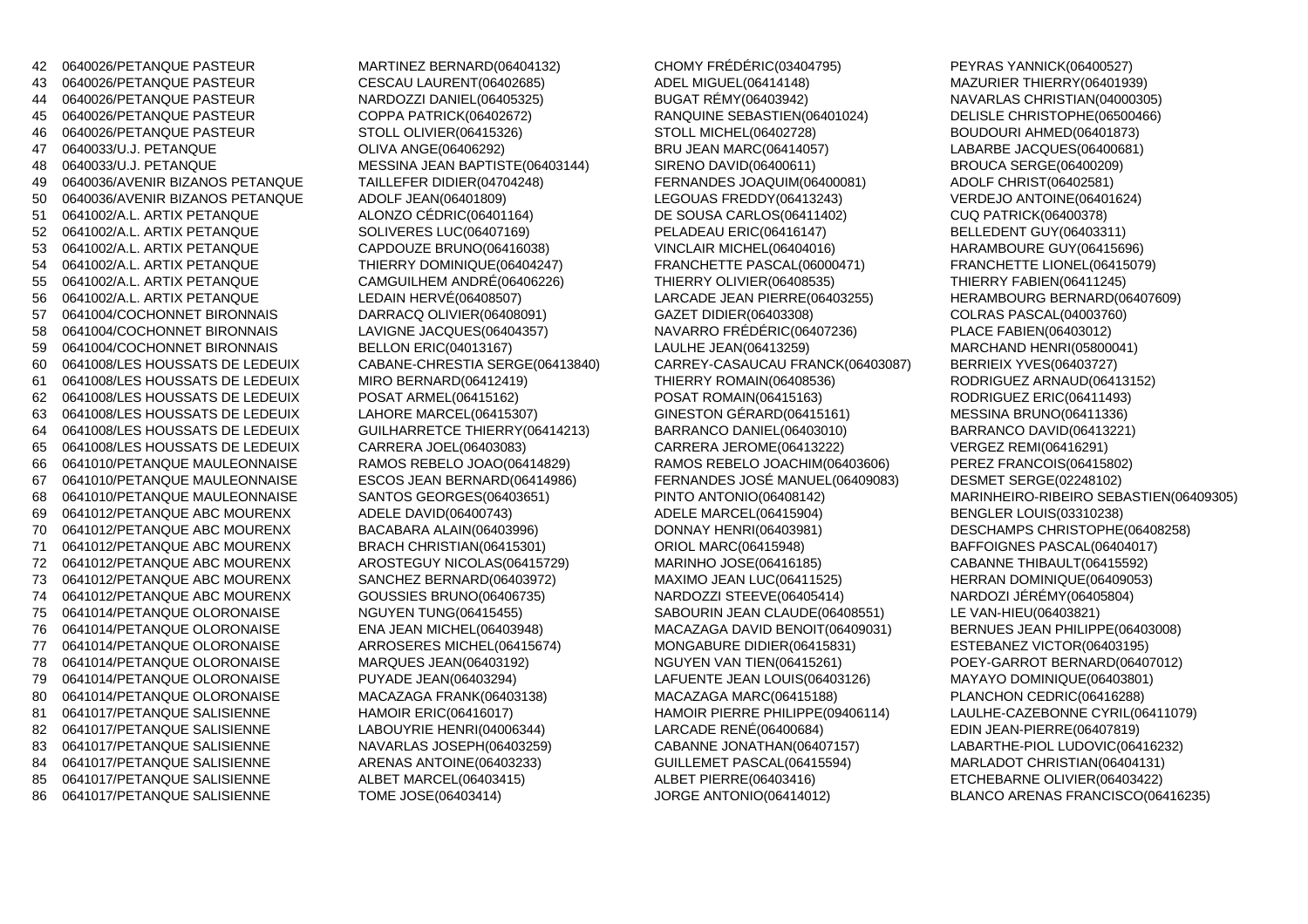0640026/PETANQUE PASTEUR MARTINEZ BERNARD(06404132) CHOMY FRÉDÉRIC(03404795) PEYRAS YANNICK(06400527) 43 0640026/PETANQUE PASTEUR CESCAU LAURENT(06402685) ADEL MIGUEL(06414148) MAZURIER THIERRY(06401939)44 0640026/PETANQUE PASTEUR NARDOZZI DANIEL(06405325)<br>45 0640026/PETANQUE PASTEUR COPPA PATRICK(06402672) 0640026/PETANQUE PASTEUR COPPA PATRICK(06402672) RANQUINE SEBASTIEN(06401024) DELISLE CHRISTOPHE(06500466) 0640026/PETANQUE PASTEUR STOLL OLIVIER(06415326) STOLL MICHEL(06402728) BOUDOURI AHMED(06401873) <sup>47</sup> 0640033/U.J. PETANQUE OLIVA ANGE(06406292) BRU JEAN MARC(06414057) LABARBE JACQUES(06400681) 0640033/U.J. PETANQUE MESSINA JEAN BAPTISTE(06403144) SIRENO DAVID(06400611) BROUCA SERGE(06400209)49 0640036/AVENIR BIZANOS PETANQUE TAILLEFER DIDIER(04704248) FERNANDES JOAQUIM(064000<br>50 0640036/AVENIR BIZANOS PETANQUE ADOLF JEAN(06401809) LEGOUAS FREDDY(06413243) 50 0640036/AVENIR BIZANOS PETANQUE ADOLF JEAN(06401809)<br>51 0641002/A.L. ARTIX PETANQUE ALONZO CÉDRIC(06401164) 0641002/A.L. ARTIX PETANQUE ALONZO CÉDRIC(06401164) DE SOUSA CARLOS(06411402) CUQ PATRICK(06400378) 0641002/A.L. ARTIX PETANQUE SOLIVERES LUC(06407169) PELADEAU ERIC(06416147) BELLEDENT GUY(06403311)53 0641002/A.L. ARTIX PETANQUE 54 0641002/A.L. ARTIX PETANQUE THIERRY DOMINIQUE(06404247) FRANCHETTE PASCAL(06000471) FRANCHETTE LIONEL(06415079) 0641002/A.L. ARTIX PETANQUE CAMGUILHEM ANDRÉ(06406226) THIERRY OLIVIER(06408535) THIERRY FABIEN(06411245) 0641002/A.L. ARTIX PETANQUE LEDAIN HERVÉ(06408507) 0641004/COCHONNET BIRONNAIS DARRACQ OLIVIER(06408091) GAZET DIDIER(06403308) COLRAS PASCAL(04003760) 0641004/COCHONNET BIRONNAIS LAVIGNE JACQUES(06404357) NAVARRO FRÉDÉRIC(06407236) PLACE FABIEN(06403012) 0641004/COCHONNET BIRONNAIS BELLON ERIC(04013167) LAULHE JEAN(06413259) MARCHAND HENRI(05800041)60 0641008/LES HOUSSATS DE LEDEUIX CABANE-CHRESTIA SERGE(06413840) CARREY-CASAUCAU FRANCK(06403087) 61 0641008/LES HOUSSATS DE LEDEUIX MIRO BERNARD(06412419) THIERRY ROMAIN(06408536) 0641008/LES HOUSSATS DE LEDEUIX POSAT ARMEL(06415162) POSAT ROMAIN(06415163) RODRIGUEZ ERIC(06411493)63 0641008/LES HOUSSATS DE LEDEUIX LAHORE MARCEL(06415307) GINESTON GÉRARD(06415161)<br>64 0641008/LES HOUSSATS DE LEDEUIX GUILHARRETCE THIERRY(06414213) BARRANCO DANIEL(06403010) 64 0641008/LES HOUSSATS DE LEDEUIX 0641008/LES HOUSSATS DE LEDEUIX CARRERA JOEL(06403083) CARRERA JEROME(06413222) VERGEZ REMI(06416291) 0641010/PETANQUE MAULEONNAISE RAMOS REBELO JOAO(06414829) RAMOS REBELO JOACHIM(06403606) PEREZ FRANCOIS(06415802) 0641010/PETANQUE MAULEONNAISE ESCOS JEAN BERNARD(06414986) FERNANDES JOSÉ MANUEL(06409083) DESMET SERGE(02248102) 68 0641010/PETANQUE MAULEONNAISE SANTOS GEORGES(06403651) PINTO ANTONIO(06408142) MARINHEIRO-RIBEIRO SEBASTIEN(06409305) 0641012/PETANQUE ABC MOURENX ADELE DAVID(06400743) 0641012/PETANQUE ABC MOURENX BACABARA ALAIN(06403996) DONNAY HENRI(06403981) DESCHAMPS CHRISTOPHE(06408258) 0641012/PETANQUE ABC MOURENX BRACH CHRISTIAN(06415301) ORIOL MARC(06415948) BAFFOIGNES PASCAL(06404017) 0641012/PETANQUE ABC MOURENX AROSTEGUY NICOLAS(06415729) MARINHO JOSE(06416185) CABANNE THIBAULT(06415592) 0641012/PETANQUE ABC MOURENX SANCHEZ BERNARD(06403972) MAXIMO JEAN LUC(06411525) HERRAN DOMINIQUE(06409053)74 0641012/PETANQUE ABC MOURENX GOUSSIES BRUNO(06406735) NARDOZZI STEEVE(06405414) 0641014/PETANQUE OLORONAISE NGUYEN TUNG(06415455) SABOURIN JEAN CLAUDE(06408551) LE VAN-HIEU(06403821) 0641014/PETANQUE OLORONAISE ARROSERES MICHEL(06415674) MONGABURE DIDIER(06415831) ESTEBANEZ VICTOR(06403195) 0641014/PETANQUE OLORONAISE MARQUES JEAN(06403192) 0641014/PETANQUE OLORONAISE PUYADE JEAN(06403294) LAFUENTE JEAN LOUIS(06403126) MAYAYO DOMINIQUE(06403801)80 0641014/PETANQUE OLORONAISE MACAZAGA FRANK(06403138) MACAZAGA MARC(06415188) 81 0641017/PETANQUE SALISIENNE HAMOIR ERIC(06416017) HAMOIR PIERRE PHILIPPE(09406114) LAULHE-CAZEBONNE CYRIL(06411079) 0641017/PETANQUE SALISIENNE LABOUYRIE HENRI(04006344) LARCADE RENÉ(06400684) EDIN JEAN-PIERRE(06407819) 83 0641017/PETANQUE SALISIENNE NAVARLAS JOSEPH(06403259) CABANNE JONATHAN(06407157) LABARTHE-PIOL LUDOVIC(06416232) 0641017/PETANQUE SALISIENNE ARENAS ANTOINE(06403233) GUILLEMET PASCAL(06415594) MARLADOT CHRISTIAN(06404131)85 0641017/PETANQUE SALISIENNE ALBET MARCEL(06403415)

 BUGAT RÉMY(06403942) NAVARLAS CHRISTIAN(04000305) LARCADE JEAN PIERRE(06403255) HERAMBOURG BERNARD(06407609) ADELE DAVID(06400743) ADELE MARCEL(06415904) BENGLER LOUIS(03310238)<br>BACABARA ALAIN(06403996) DONNAY HENRI(06403981) DESCHAMPS CHRISTOPHE MACAZAGA DAVID BENOIT(06409031) NGUYEN VAN TIEN(06415261) POEY-GARROT BERNARD(06407012) ALBET PIERRE(06403416) ETCHEBARNE OLIVIER(06403422) 86 0641017/PETANQUE SALISIENNE TOME JOSE(06403414) JORGE ANTONIO(06414012) BLANCO ARENAS FRANCISCO(06416235)

VERDEJO ANTOINE(06401624) **BELLEDENT GUY(06403311)** HARAMBOURE GUY(06415696) MARCHAND HENRI(05800041) RODRIGUEZ ARNAUD(06413152) MESSINA BRUNO(06411336) BARRANCO DAVID(06413221) PEREZ FRANCOIS(06415802) HERRAN DOMINIQUE(06409053) BERNUES JEAN PHILIPPE(06403008)